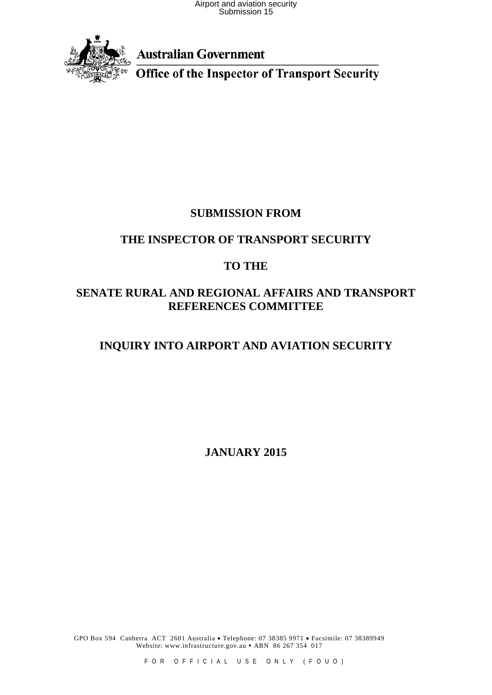Airport and aviation security Submission 15



**Australian Government** 

**Office of the Inspector of Transport Security** 

# **SUBMISSION FROM**

# **THE INSPECTOR OF TRANSPORT SECURITY**

# **TO THE**

## **SENATE RURAL AND REGIONAL AFFAIRS AND TRANSPORT REFERENCES COMMITTEE**

# **INQUIRY INTO AIRPORT AND AVIATION SECURITY**

**JANUARY 2015**

GPO Box 594 Canberra ACT 2601 Australia • Telephone: 07 38385 9971 • Facsimile: 07 38389949 Website: www.infrastructure.gov.au • ABN 86 267 354 017

FOR OFFICIAL U SE ONLY (FOUO)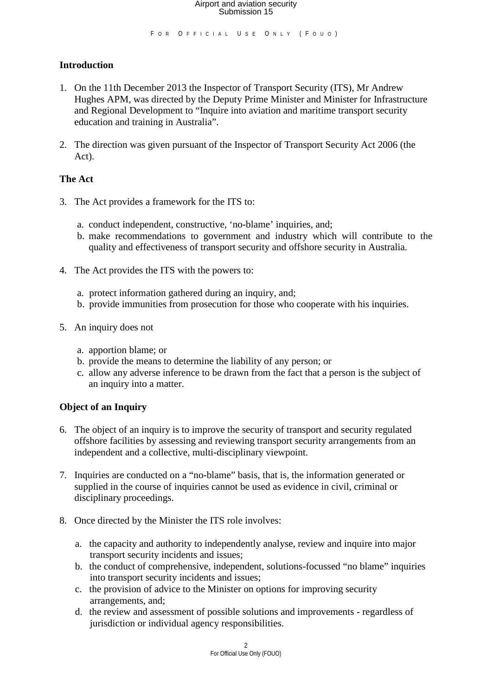# Airport and aviation security Submission 15

#### **Introduction**

- 1. On the 11th December 2013 the Inspector of Transport Security (ITS), Mr Andrew Hughes APM, was directed by the Deputy Prime Minister and Minister for Infrastructure and Regional Development to "Inquire into aviation and maritime transport security education and training in Australia".
- 2. The direction was given pursuant of the Inspector of Transport Security Act 2006 (the Act).

#### **The Act**

- 3. The Act provides a framework for the ITS to:
	- a. conduct independent, constructive, 'no-blame' inquiries, and;
	- b. make recommendations to government and industry which will contribute to the quality and effectiveness of transport security and offshore security in Australia.
- 4. The Act provides the ITS with the powers to:
	- a. protect information gathered during an inquiry, and;
	- b. provide immunities from prosecution for those who cooperate with his inquiries.
- 5. An inquiry does not
	- a. apportion blame; or
	- b. provide the means to determine the liability of any person; or
	- c. allow any adverse inference to be drawn from the fact that a person is the subject of an inquiry into a matter.

#### **Object of an Inquiry**

- 6. The object of an inquiry is to improve the security of transport and security regulated offshore facilities by assessing and reviewing transport security arrangements from an independent and a collective, multi-disciplinary viewpoint.
- 7. Inquiries are conducted on a "no-blame" basis, that is, the information generated or supplied in the course of inquiries cannot be used as evidence in civil, criminal or disciplinary proceedings.
- 8. Once directed by the Minister the ITS role involves:
	- a. the capacity and authority to independently analyse, review and inquire into major transport security incidents and issues;
	- b. the conduct of comprehensive, independent, solutions-focussed "no blame" inquiries into transport security incidents and issues;
	- c. the provision of advice to the Minister on options for improving security arrangements, and;
	- d. the review and assessment of possible solutions and improvements regardless of jurisdiction or individual agency responsibilities.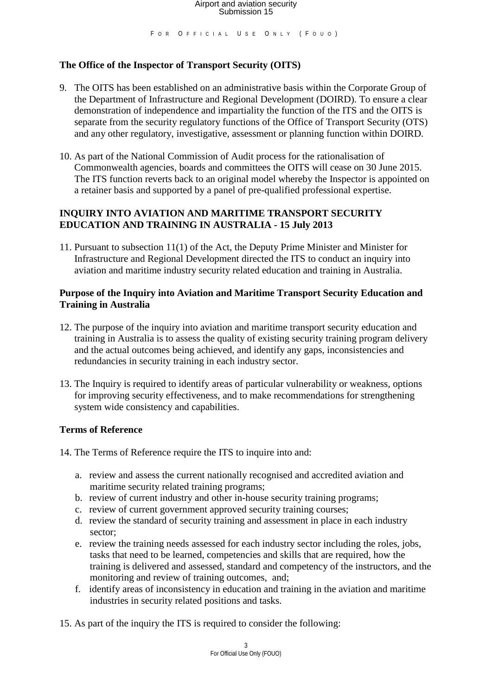## **The Office of the Inspector of Transport Security (OITS)**

- 9. The OITS has been established on an administrative basis within the Corporate Group of the Department of Infrastructure and Regional Development (DOIRD). To ensure a clear demonstration of independence and impartiality the function of the ITS and the OITS is separate from the security regulatory functions of the Office of Transport Security (OTS) and any other regulatory, investigative, assessment or planning function within DOIRD.
- 10. As part of the National Commission of Audit process for the rationalisation of Commonwealth agencies, boards and committees the OITS will cease on 30 June 2015. The ITS function reverts back to an original model whereby the Inspector is appointed on a retainer basis and supported by a panel of pre-qualified professional expertise.

## **INQUIRY INTO AVIATION AND MARITIME TRANSPORT SECURITY EDUCATION AND TRAINING IN AUSTRALIA - 15 July 2013**

11. Pursuant to subsection 11(1) of the Act, the Deputy Prime Minister and Minister for Infrastructure and Regional Development directed the ITS to conduct an inquiry into aviation and maritime industry security related education and training in Australia.

## **Purpose of the Inquiry into Aviation and Maritime Transport Security Education and Training in Australia**

- 12. The purpose of the inquiry into aviation and maritime transport security education and training in Australia is to assess the quality of existing security training program delivery and the actual outcomes being achieved, and identify any gaps, inconsistencies and redundancies in security training in each industry sector.
- 13. The Inquiry is required to identify areas of particular vulnerability or weakness, options for improving security effectiveness, and to make recommendations for strengthening system wide consistency and capabilities.

## **Terms of Reference**

14. The Terms of Reference require the ITS to inquire into and:

- a. review and assess the current nationally recognised and accredited aviation and maritime security related training programs;
- b. review of current industry and other in-house security training programs;
- c. review of current government approved security training courses;
- d. review the standard of security training and assessment in place in each industry sector;
- e. review the training needs assessed for each industry sector including the roles, jobs, tasks that need to be learned, competencies and skills that are required, how the training is delivered and assessed, standard and competency of the instructors, and the monitoring and review of training outcomes, and;
- f. identify areas of inconsistency in education and training in the aviation and maritime industries in security related positions and tasks.
- 15. As part of the inquiry the ITS is required to consider the following: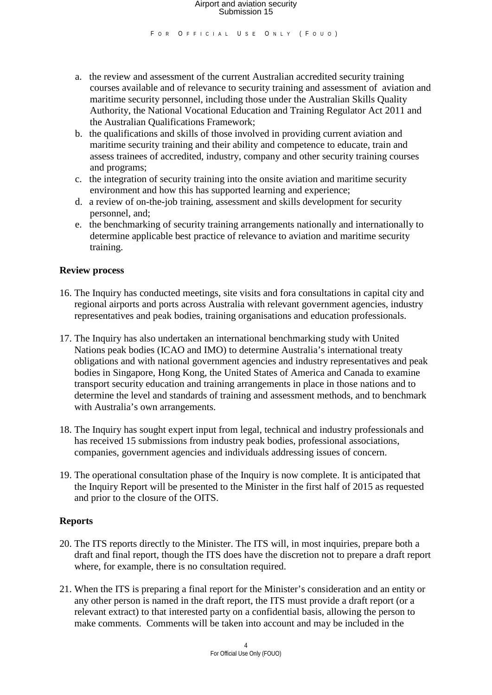# Airport and aviation security Submission 15

F OR OFFICIAL USE ONLY (FOUO)

- a. the review and assessment of the current Australian accredited security training courses available and of relevance to security training and assessment of aviation and maritime security personnel, including those under the Australian Skills Quality Authority, the National Vocational Education and Training Regulator Act 2011 and the Australian Qualifications Framework;
- b. the qualifications and skills of those involved in providing current aviation and maritime security training and their ability and competence to educate, train and assess trainees of accredited, industry, company and other security training courses and programs;
- c. the integration of security training into the onsite aviation and maritime security environment and how this has supported learning and experience;
- d. a review of on-the-job training, assessment and skills development for security personnel, and;
- e. the benchmarking of security training arrangements nationally and internationally to determine applicable best practice of relevance to aviation and maritime security training.

#### **Review process**

- 16. The Inquiry has conducted meetings, site visits and fora consultations in capital city and regional airports and ports across Australia with relevant government agencies, industry representatives and peak bodies, training organisations and education professionals.
- 17. The Inquiry has also undertaken an international benchmarking study with United Nations peak bodies (ICAO and IMO) to determine Australia's international treaty obligations and with national government agencies and industry representatives and peak bodies in Singapore, Hong Kong, the United States of America and Canada to examine transport security education and training arrangements in place in those nations and to determine the level and standards of training and assessment methods, and to benchmark with Australia's own arrangements.
- 18. The Inquiry has sought expert input from legal, technical and industry professionals and has received 15 submissions from industry peak bodies, professional associations, companies, government agencies and individuals addressing issues of concern.
- 19. The operational consultation phase of the Inquiry is now complete. It is anticipated that the Inquiry Report will be presented to the Minister in the first half of 2015 as requested and prior to the closure of the OITS.

#### **Reports**

- 20. The ITS reports directly to the Minister. The ITS will, in most inquiries, prepare both a draft and final report, though the ITS does have the discretion not to prepare a draft report where, for example, there is no consultation required.
- 21. When the ITS is preparing a final report for the Minister's consideration and an entity or any other person is named in the draft report, the ITS must provide a draft report (or a relevant extract) to that interested party on a confidential basis, allowing the person to make comments. Comments will be taken into account and may be included in the